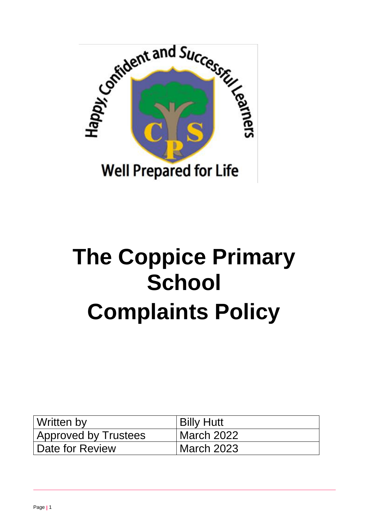

# **The Coppice Primary School Complaints Policy**

| Written by                  | <b>Billy Hutt</b> |
|-----------------------------|-------------------|
| <b>Approved by Trustees</b> | March 2022        |
| Date for Review             | March 2023        |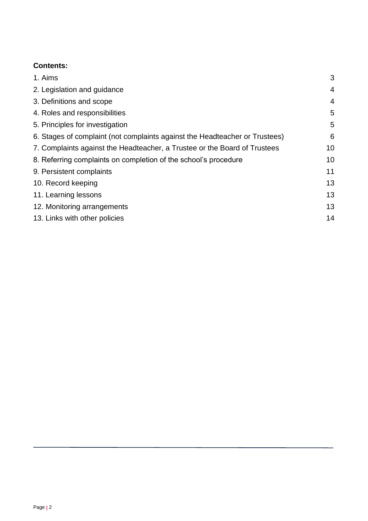# <span id="page-1-0"></span>**Contents:**

| 1. Aims                                                                     | 3              |
|-----------------------------------------------------------------------------|----------------|
| 2. Legislation and guidance                                                 | $\overline{4}$ |
| 3. Definitions and scope                                                    | $\overline{4}$ |
| 4. Roles and responsibilities                                               | 5              |
| 5. Principles for investigation                                             | 5              |
| 6. Stages of complaint (not complaints against the Headteacher or Trustees) | 6              |
| 7. Complaints against the Headteacher, a Trustee or the Board of Trustees   | 10             |
| 8. Referring complaints on completion of the school's procedure             |                |
| 9. Persistent complaints                                                    | 11             |
| 10. Record keeping                                                          | 13             |
| 11. Learning lessons                                                        | 13             |
| 12. Monitoring arrangements                                                 | 13             |
| 13. Links with other policies                                               | 14             |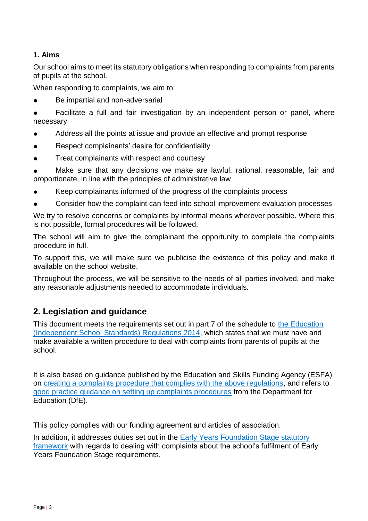# **1. Aims**

Our school aims to meet its statutory obligations when responding to complaints from parents of pupils at the school.

When responding to complaints, we aim to:

Be impartial and non-adversarial

Facilitate a full and fair investigation by an independent person or panel, where necessary

- Address all the points at issue and provide an effective and prompt response
- Respect complainants' desire for confidentiality
- Treat complainants with respect and courtesy

Make sure that any decisions we make are lawful, rational, reasonable, fair and proportionate, in line with the principles of administrative law

- Keep complainants informed of the progress of the complaints process
- Consider how the complaint can feed into school improvement evaluation processes

We try to resolve concerns or complaints by informal means wherever possible. Where this is not possible, formal procedures will be followed.

The school will aim to give the complainant the opportunity to complete the complaints procedure in full.

To support this, we will make sure we publicise the existence of this policy and make it available on the school website.

Throughout the process, we will be sensitive to the needs of all parties involved, and make any reasonable adjustments needed to accommodate individuals.

# <span id="page-2-0"></span>**2. Legislation and guidance**

This document meets the requirements set out in part 7 of the schedule to the [Education](http://www.legislation.gov.uk/uksi/2014/3283/schedule/made)  [\(Independent School Standards\) Regulations 2014,](http://www.legislation.gov.uk/uksi/2014/3283/schedule/made) which states that we must have and make available a written procedure to deal with complaints from parents of pupils at the school.

It is also based on guidance published by the Education and Skills Funding Agency (ESFA) on [creating a complaints procedure that complies with the above regulations,](https://www.gov.uk/government/publications/setting-up-an-academies-complaints-procedure) and refers to [good practice guidance on setting up complaints procedures](https://www.gov.uk/government/publications/school-complaints-procedures) from the Department for Education (DfE).

This policy complies with our funding agreement and articles of association.

In addition, it addresses duties set out in the Early Years Foundation Stage statutory [framework](https://www.gov.uk/government/publications/early-years-foundation-stage-framework--2) with regards to dealing with complaints about the school's fulfilment of Early Years Foundation Stage requirements.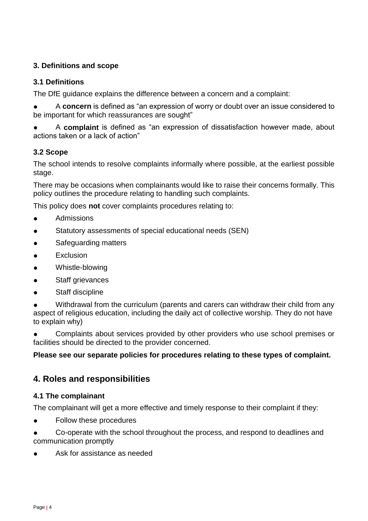# <span id="page-3-0"></span>**3. Definitions and scope**

## **3.1 Definitions**

The DfE guidance explains the difference between a concern and a complaint:

A **concern** is defined as "an expression of worry or doubt over an issue considered to be important for which reassurances are sought"

A **complaint** is defined as "an expression of dissatisfaction however made, about actions taken or a lack of action"

#### **3.2 Scope**

The school intends to resolve complaints informally where possible, at the earliest possible stage.

There may be occasions when complainants would like to raise their concerns formally. This policy outlines the procedure relating to handling such complaints.

This policy does **not** cover complaints procedures relating to:

- **Admissions**
- Statutory assessments of special educational needs (SEN)
- Safeguarding matters
- **Exclusion**
- Whistle-blowing
- Staff grievances
- Staff discipline

● Withdrawal from the curriculum (parents and carers can withdraw their child from any aspect of religious education, including the daily act of collective worship. They do not have to explain why)

Complaints about services provided by other providers who use school premises or facilities should be directed to the provider concerned.

# **Please see our separate policies for procedures relating to these types of complaint.**

# <span id="page-3-1"></span>**4. Roles and responsibilities**

#### **4.1 The complainant**

The complainant will get a more effective and timely response to their complaint if they:

**Follow these procedures** 

Co-operate with the school throughout the process, and respond to deadlines and communication promptly

Ask for assistance as needed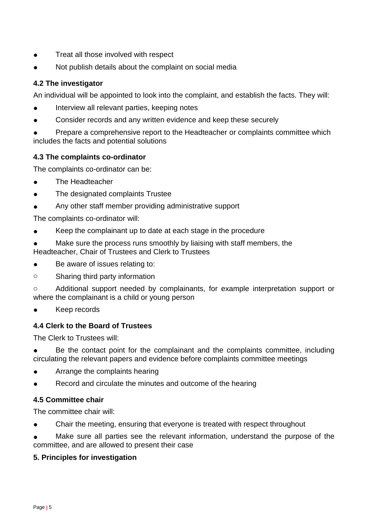- Treat all those involved with respect
- Not publish details about the complaint on social media

# **4.2 The investigator**

An individual will be appointed to look into the complaint, and establish the facts. They will:

- Interview all relevant parties, keeping notes
- Consider records and any written evidence and keep these securely

Prepare a comprehensive report to the Headteacher or complaints committee which includes the facts and potential solutions

# **4.3 The complaints co-ordinator**

The complaints co-ordinator can be:

- The Headteacher
- The designated complaints Trustee
- Any other staff member providing administrative support

The complaints co-ordinator will:

- Keep the complainant up to date at each stage in the procedure
- Make sure the process runs smoothly by liaising with staff members, the Headteacher, Chair of Trustees and Clerk to Trustees
- Be aware of issues relating to:
- o Sharing third party information

o Additional support needed by complainants, for example interpretation support or where the complainant is a child or young person

Keep records

# **4.4 Clerk to the Board of Trustees**

The Clerk to Trustees will:

Be the contact point for the complainant and the complaints committee, including circulating the relevant papers and evidence before complaints committee meetings

- Arrange the complaints hearing
- Record and circulate the minutes and outcome of the hearing

# **4.5 Committee chair**

The committee chair will:

Chair the meeting, ensuring that everyone is treated with respect throughout

<span id="page-4-0"></span>Make sure all parties see the relevant information, understand the purpose of the committee, and are allowed to present their case

# **5. Principles for investigation**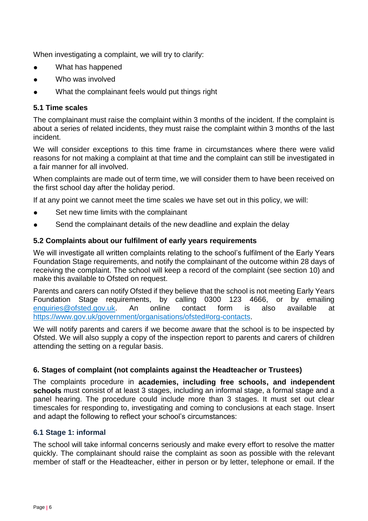When investigating a complaint, we will try to clarify:

- What has happened
- Who was involved
- What the complainant feels would put things right

#### **5.1 Time scales**

The complainant must raise the complaint within 3 months of the incident. If the complaint is about a series of related incidents, they must raise the complaint within 3 months of the last incident.

We will consider exceptions to this time frame in circumstances where there were valid reasons for not making a complaint at that time and the complaint can still be investigated in a fair manner for all involved.

When complaints are made out of term time, we will consider them to have been received on the first school day after the holiday period.

If at any point we cannot meet the time scales we have set out in this policy, we will:

- Set new time limits with the complainant
- Send the complainant details of the new deadline and explain the delay

#### **5.2 Complaints about our fulfilment of early years requirements**

We will investigate all written complaints relating to the school's fulfilment of the Early Years Foundation Stage requirements, and notify the complainant of the outcome within 28 days of receiving the complaint. The school will keep a record of the complaint (see section 10) and make this available to Ofsted on request.

Parents and carers can notify Ofsted if they believe that the school is not meeting Early Years Foundation Stage requirements, by calling 0300 123 4666, or by emailing [enquiries@ofsted.gov.uk.](mailto:enquiries@ofsted.gov.uk) An online contact form is also available at [https://www.gov.uk/government/organisations/ofsted#org-contacts.](https://www.gov.uk/government/organisations/ofsted#org-contacts)

We will notify parents and carers if we become aware that the school is to be inspected by Ofsted. We will also supply a copy of the inspection report to parents and carers of children attending the setting on a regular basis.

#### <span id="page-5-0"></span>**6. Stages of complaint (not complaints against the Headteacher or Trustees)**

The complaints procedure in **academies, including free schools, and independent schools** must consist of at least 3 stages, including an informal stage, a formal stage and a panel hearing. The procedure could include more than 3 stages. It must set out clear timescales for responding to, investigating and coming to conclusions at each stage. Insert and adapt the following to reflect your school's circumstances:

#### **6.1 Stage 1: informal**

The school will take informal concerns seriously and make every effort to resolve the matter quickly. The complainant should raise the complaint as soon as possible with the relevant member of staff or the Headteacher, either in person or by letter, telephone or email. If the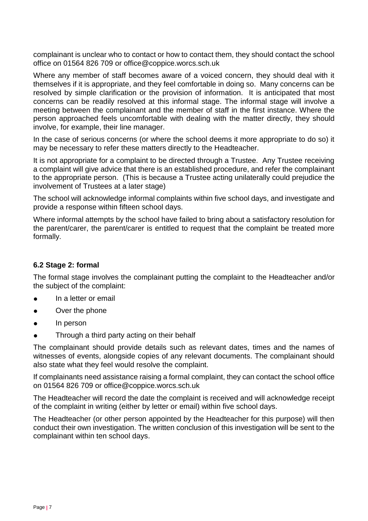complainant is unclear who to contact or how to contact them, they should contact the school office on 01564 826 709 or office@coppice.worcs.sch.uk

Where any member of staff becomes aware of a voiced concern, they should deal with it themselves if it is appropriate, and they feel comfortable in doing so. Many concerns can be resolved by simple clarification or the provision of information. It is anticipated that most concerns can be readily resolved at this informal stage. The informal stage will involve a meeting between the complainant and the member of staff in the first instance. Where the person approached feels uncomfortable with dealing with the matter directly, they should involve, for example, their line manager.

In the case of serious concerns (or where the school deems it more appropriate to do so) it may be necessary to refer these matters directly to the Headteacher.

It is not appropriate for a complaint to be directed through a Trustee. Any Trustee receiving a complaint will give advice that there is an established procedure, and refer the complainant to the appropriate person. (This is because a Trustee acting unilaterally could prejudice the involvement of Trustees at a later stage)

The school will acknowledge informal complaints within five school days, and investigate and provide a response within fifteen school days.

Where informal attempts by the school have failed to bring about a satisfactory resolution for the parent/carer, the parent/carer is entitled to request that the complaint be treated more formally.

# **6.2 Stage 2: formal**

The formal stage involves the complainant putting the complaint to the Headteacher and/or the subject of the complaint:

- In a letter or email
- Over the phone
- In person
- Through a third party acting on their behalf

The complainant should provide details such as relevant dates, times and the names of witnesses of events, alongside copies of any relevant documents. The complainant should also state what they feel would resolve the complaint.

If complainants need assistance raising a formal complaint, they can contact the school office on 01564 826 709 or office@coppice.worcs.sch.uk

The Headteacher will record the date the complaint is received and will acknowledge receipt of the complaint in writing (either by letter or email) within five school days.

The Headteacher (or other person appointed by the Headteacher for this purpose) will then conduct their own investigation. The written conclusion of this investigation will be sent to the complainant within ten school days.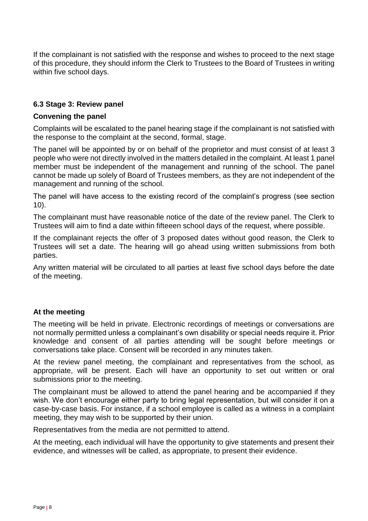If the complainant is not satisfied with the response and wishes to proceed to the next stage of this procedure, they should inform the Clerk to Trustees to the Board of Trustees in writing within five school days.

## **6.3 Stage 3: Review panel**

#### **Convening the panel**

Complaints will be escalated to the panel hearing stage if the complainant is not satisfied with the response to the complaint at the second, formal, stage.

The panel will be appointed by or on behalf of the proprietor and must consist of at least 3 people who were not directly involved in the matters detailed in the complaint. At least 1 panel member must be independent of the management and running of the school. The panel cannot be made up solely of Board of Trustees members, as they are not independent of the management and running of the school.

The panel will have access to the existing record of the complaint's progress (see section 10).

The complainant must have reasonable notice of the date of the review panel. The Clerk to Trustees will aim to find a date within fifteeen school days of the request, where possible.

If the complainant rejects the offer of 3 proposed dates without good reason, the Clerk to Trustees will set a date. The hearing will go ahead using written submissions from both parties.

Any written material will be circulated to all parties at least five school days before the date of the meeting.

#### **At the meeting**

The meeting will be held in private. Electronic recordings of meetings or conversations are not normally permitted unless a complainant's own disability or special needs require it. Prior knowledge and consent of all parties attending will be sought before meetings or conversations take place. Consent will be recorded in any minutes taken.

At the review panel meeting, the complainant and representatives from the school, as appropriate, will be present. Each will have an opportunity to set out written or oral submissions prior to the meeting.

The complainant must be allowed to attend the panel hearing and be accompanied if they wish. We don't encourage either party to bring legal representation, but will consider it on a case-by-case basis. For instance, if a school employee is called as a witness in a complaint meeting, they may wish to be supported by their union.

Representatives from the media are not permitted to attend.

At the meeting, each individual will have the opportunity to give statements and present their evidence, and witnesses will be called, as appropriate, to present their evidence.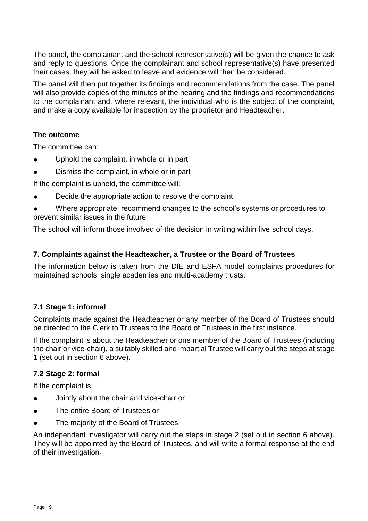The panel, the complainant and the school representative(s) will be given the chance to ask and reply to questions. Once the complainant and school representative(s) have presented their cases, they will be asked to leave and evidence will then be considered.

The panel will then put together its findings and recommendations from the case. The panel will also provide copies of the minutes of the hearing and the findings and recommendations to the complainant and, where relevant, the individual who is the subject of the complaint, and make a copy available for inspection by the proprietor and Headteacher.

# **The outcome**

The committee can:

- Uphold the complaint, in whole or in part
- Dismiss the complaint, in whole or in part

If the complaint is upheld, the committee will:

- Decide the appropriate action to resolve the complaint
- Where appropriate, recommend changes to the school's systems or procedures to prevent similar issues in the future

The school will inform those involved of the decision in writing within five school days.

# <span id="page-8-0"></span>**7. Complaints against the Headteacher, a Trustee or the Board of Trustees**

The information below is taken from the DfE and ESFA model complaints procedures for maintained schools, single academies and multi-academy trusts.

# **7.1 Stage 1: informal**

Complaints made against the Headteacher or any member of the Board of Trustees should be directed to the Clerk to Trustees to the Board of Trustees in the first instance.

If the complaint is about the Headteacher or one member of the Board of Trustees (including the chair or vice-chair), a suitably skilled and impartial Trustee will carry out the steps at stage 1 (set out in section 6 above).

# **7.2 Stage 2: formal**

If the complaint is:

- Jointly about the chair and vice-chair or
- The entire Board of Trustees or
- The majority of the Board of Trustees

An independent investigator will carry out the steps in stage 2 (set out in section 6 above). They will be appointed by the Board of Trustees, and will write a formal response at the end of their investigation.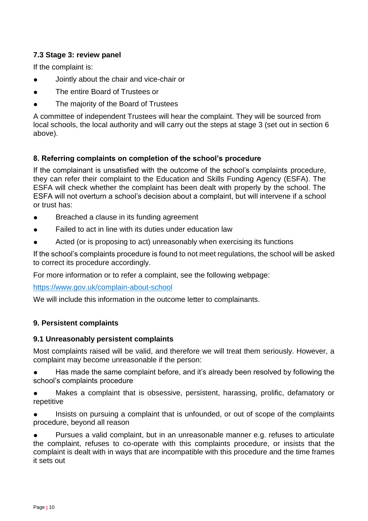# **7.3 Stage 3: review panel**

If the complaint is:

- Jointly about the chair and vice-chair or
- The entire Board of Trustees or
- The majority of the Board of Trustees

A committee of independent Trustees will hear the complaint. They will be sourced from local schools, the local authority and will carry out the steps at stage 3 (set out in section 6 above).

# <span id="page-9-0"></span>**8. Referring complaints on completion of the school's procedure**

If the complainant is unsatisfied with the outcome of the school's complaints procedure, they can refer their complaint to the Education and Skills Funding Agency (ESFA). The ESFA will check whether the complaint has been dealt with properly by the school. The ESFA will not overturn a school's decision about a complaint, but will intervene if a school or trust has:

- Breached a clause in its funding agreement
- Failed to act in line with its duties under education law
- Acted (or is proposing to act) unreasonably when exercising its functions

If the school's complaints procedure is found to not meet regulations, the school will be asked to correct its procedure accordingly.

For more information or to refer a complaint, see the following webpage:

<https://www.gov.uk/complain-about-school>

We will include this information in the outcome letter to complainants.

# <span id="page-9-1"></span>**9. Persistent complaints**

# **9.1 Unreasonably persistent complaints**

Most complaints raised will be valid, and therefore we will treat them seriously. However, a complaint may become unreasonable if the person:

Has made the same complaint before, and it's already been resolved by following the school's complaints procedure

- Makes a complaint that is obsessive, persistent, harassing, prolific, defamatory or repetitive
- Insists on pursuing a complaint that is unfounded, or out of scope of the complaints procedure, beyond all reason

Pursues a valid complaint, but in an unreasonable manner e.g. refuses to articulate the complaint, refuses to co-operate with this complaints procedure, or insists that the complaint is dealt with in ways that are incompatible with this procedure and the time frames it sets out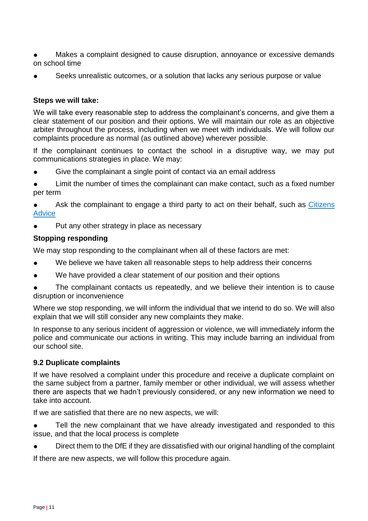- Makes a complaint designed to cause disruption, annoyance or excessive demands on school time
- Seeks unrealistic outcomes, or a solution that lacks any serious purpose or value

## **Steps we will take:**

We will take every reasonable step to address the complainant's concerns, and give them a clear statement of our position and their options. We will maintain our role as an objective arbiter throughout the process, including when we meet with individuals. We will follow our complaints procedure as normal (as outlined above) wherever possible.

If the complainant continues to contact the school in a disruptive way, we may put communications strategies in place. We may:

Give the complainant a single point of contact via an email address

Limit the number of times the complainant can make contact, such as a fixed number per term

Ask the complainant to engage a third party to act on their behalf, such as Citizens **[Advice](https://www.citizensadvice.org.uk/)** 

Put any other strategy in place as necessary

#### **Stopping responding**

We may stop responding to the complainant when all of these factors are met:

- We believe we have taken all reasonable steps to help address their concerns
- We have provided a clear statement of our position and their options

The complainant contacts us repeatedly, and we believe their intention is to cause disruption or inconvenience

Where we stop responding, we will inform the individual that we intend to do so. We will also explain that we will still consider any new complaints they make.

In response to any serious incident of aggression or violence, we will immediately inform the police and communicate our actions in writing. This may include barring an individual from our school site.

#### **9.2 Duplicate complaints**

If we have resolved a complaint under this procedure and receive a duplicate complaint on the same subject from a partner, family member or other individual, we will assess whether there are aspects that we hadn't previously considered, or any new information we need to take into account.

If we are satisfied that there are no new aspects, we will:

Tell the new complainant that we have already investigated and responded to this issue, and that the local process is complete

Direct them to the DfE if they are dissatisfied with our original handling of the complaint

If there are new aspects, we will follow this procedure again.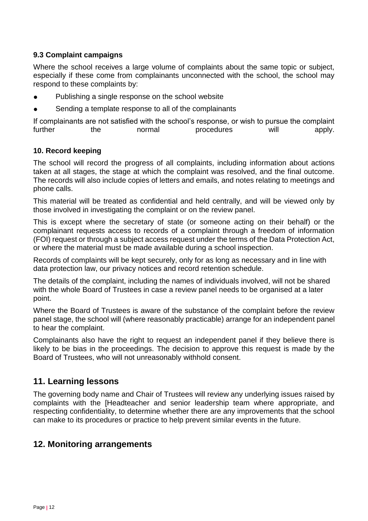# **9.3 Complaint campaigns**

Where the school receives a large volume of complaints about the same topic or subject, especially if these come from complainants unconnected with the school, the school may respond to these complaints by:

- Publishing a single response on the school website
- Sending a template response to all of the complainants

<span id="page-11-0"></span>If complainants are not satisfied with the school's response, or wish to pursue the complaint further the normal procedures will apply.

# **10. Record keeping**

The school will record the progress of all complaints, including information about actions taken at all stages, the stage at which the complaint was resolved, and the final outcome. The records will also include copies of letters and emails, and notes relating to meetings and phone calls.

This material will be treated as confidential and held centrally, and will be viewed only by those involved in investigating the complaint or on the review panel.

This is except where the secretary of state (or someone acting on their behalf) or the complainant requests access to records of a complaint through a freedom of information (FOI) request or through a subject access request under the terms of the Data Protection Act, or where the material must be made available during a school inspection.

Records of complaints will be kept securely, only for as long as necessary and in line with data protection law, our privacy notices and record retention schedule.

The details of the complaint, including the names of individuals involved, will not be shared with the whole Board of Trustees in case a review panel needs to be organised at a later point.

Where the Board of Trustees is aware of the substance of the complaint before the review panel stage, the school will (where reasonably practicable) arrange for an independent panel to hear the complaint.

Complainants also have the right to request an independent panel if they believe there is likely to be bias in the proceedings. The decision to approve this request is made by the Board of Trustees, who will not unreasonably withhold consent.

# <span id="page-11-1"></span>**11. Learning lessons**

The governing body name and Chair of Trustees will review any underlying issues raised by complaints with the [Headteacher and senior leadership team where appropriate, and respecting confidentiality, to determine whether there are any improvements that the school can make to its procedures or practice to help prevent similar events in the future.

# <span id="page-11-2"></span>**12. Monitoring arrangements**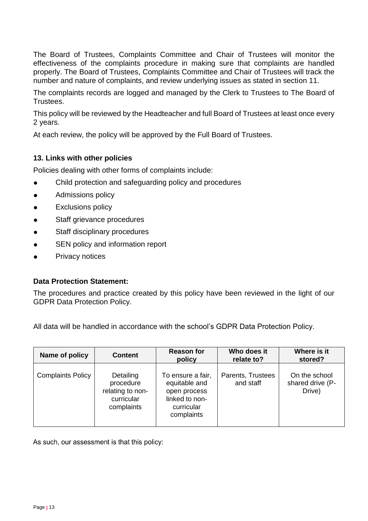The Board of Trustees, Complaints Committee and Chair of Trustees will monitor the effectiveness of the complaints procedure in making sure that complaints are handled properly. The Board of Trustees, Complaints Committee and Chair of Trustees will track the number and nature of complaints, and review underlying issues as stated in section 11.

The complaints records are logged and managed by the Clerk to Trustees to The Board of Trustees.

This policy will be reviewed by the Headteacher and full Board of Trustees at least once every 2 years.

At each review, the policy will be approved by the Full Board of Trustees.

# <span id="page-12-0"></span>**13. Links with other policies**

Policies dealing with other forms of complaints include:

- Child protection and safeguarding policy and procedures
- **•** Admissions policy
- **•** Exclusions policy
- Staff grievance procedures
- Staff disciplinary procedures
- SEN policy and information report
- Privacy notices

#### **Data Protection Statement:**

The procedures and practice created by this policy have been reviewed in the light of our GDPR Data Protection Policy.

All data will be handled in accordance with the school's GDPR Data Protection Policy.

| Name of policy           | <b>Content</b>                                                         | <b>Reason for</b><br>policy                                                                      | Who does it<br>relate to?      | Where is it<br>stored?                      |
|--------------------------|------------------------------------------------------------------------|--------------------------------------------------------------------------------------------------|--------------------------------|---------------------------------------------|
| <b>Complaints Policy</b> | Detailing<br>procedure<br>relating to non-<br>curricular<br>complaints | To ensure a fair,<br>equitable and<br>open process<br>linked to non-<br>curricular<br>complaints | Parents, Trustees<br>and staff | On the school<br>shared drive (P-<br>Drive) |

As such, our assessment is that this policy: